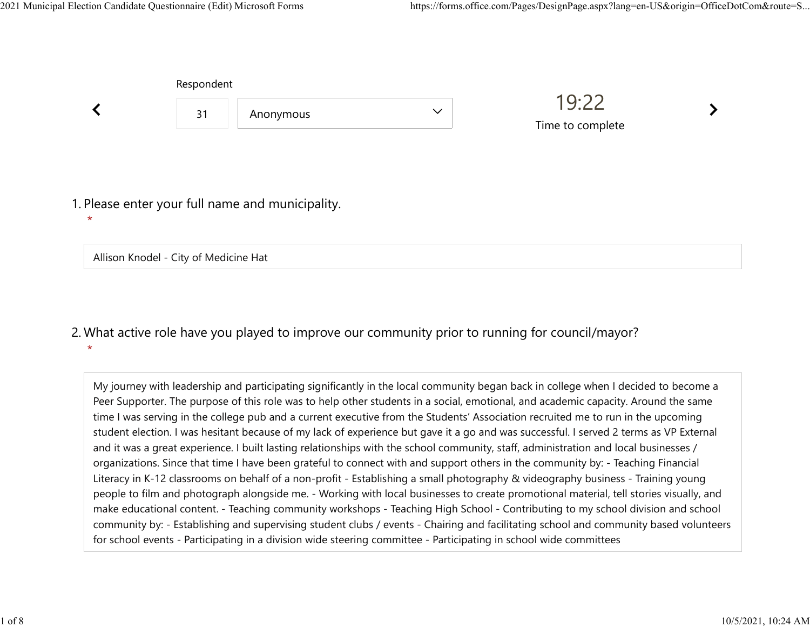|                                                             | Respondent |           |              |                           |  |
|-------------------------------------------------------------|------------|-----------|--------------|---------------------------|--|
|                                                             | 31         | Anonymous | $\checkmark$ | 19:22<br>Time to complete |  |
| 1. Please enter your full name and municipality.<br>$\star$ |            |           |              |                           |  |
| Allison Knodel - City of Medicine Hat                       |            |           |              |                           |  |

## What active role have you played to improve our community prior to running for council/mayor? 2.  $\star$

My journey with leadership and participating significantly in the local community began back in college when I decided to become a Peer Supporter. The purpose of this role was to help other students in a social, emotional, and academic capacity. Around the same time I was serving in the college pub and a current executive from the Students' Association recruited me to run in the upcoming student election. I was hesitant because of my lack of experience but gave it a go and was successful. I served 2 terms as VP External and it was a great experience. I built lasting relationships with the school community, staff, administration and local businesses / organizations. Since that time I have been grateful to connect with and support others in the community by: - Teaching Financial Literacy in K-12 classrooms on behalf of a non-profit - Establishing a small photography & videography business - Training young people to film and photograph alongside me. - Working with local businesses to create promotional material, tell stories visually, and make educational content. - Teaching community workshops - Teaching High School - Contributing to my school division and school community by: - Establishing and supervising student clubs / events - Chairing and facilitating school and community based volunteers for school events - Participating in a division wide steering committee - Participating in school wide committees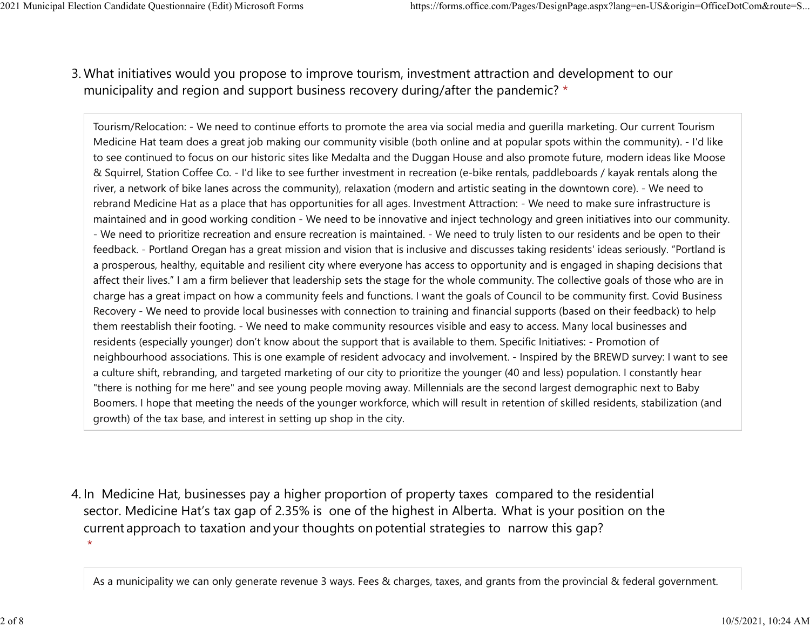## What initiatives would you propose to improve tourism, investment attraction and development to our 3. municipality and region and support business recovery during/after the pandemic? \* 2021 Municipal Election Candidate Questionnaire (Edit) Microsoft Forms https://forms.office.com/Pages/DesignPage.aspx?lang=en-US&origin=OfficeDotCom&route=S...<br>2 Mhat initiatives would you propose to improve tourism invest

Tourism/Relocation: - We need to continue efforts to promote the area via social media and guerilla marketing. Our current Tourism Medicine Hat team does a great job making our community visible (both online and at popular spots within the community). - I'd like to see continued to focus on our historic sites like Medalta and the Duggan House and also promote future, modern ideas like Moose & Squirrel, Station Coffee Co. - I'd like to see further investment in recreation (e-bike rentals, paddleboards / kayak rentals along the river, a network of bike lanes across the community), relaxation (modern and artistic seating in the downtown core). - We need to rebrand Medicine Hat as a place that has opportunities for all ages. Investment Attraction: - We need to make sure infrastructure is maintained and in good working condition - We need to be innovative and inject technology and green initiatives into our community. - We need to prioritize recreation and ensure recreation is maintained. - We need to truly listen to our residents and be open to their feedback. - Portland Oregan has a great mission and vision that is inclusive and discusses taking residents' ideas seriously. "Portland is a prosperous, healthy, equitable and resilient city where everyone has access to opportunity and is engaged in shaping decisions that affect their lives." I am a firm believer that leadership sets the stage for the whole community. The collective goals of those who are in charge has a great impact on how a community feels and functions. I want the goals of Council to be community first. Covid Business Recovery - We need to provide local businesses with connection to training and financial supports (based on their feedback) to help them reestablish their footing. - We need to make community resources visible and easy to access. Many local businesses and residents (especially younger) don't know about the support that is available to them. Specific Initiatives: - Promotion of neighbourhood associations. This is one example of resident advocacy and involvement. - Inspired by the BREWD survey: I want to see a culture shift, rebranding, and targeted marketing of our city to prioritize the younger (40 and less) population. I constantly hear "there is nothing for me here" and see young people moving away. Millennials are the second largest demographic next to Baby Boomers. I hope that meeting the needs of the younger workforce, which will result in retention of skilled residents, stabilization (and growth) of the tax base, and interest in setting up shop in the city.

4. In Medicine Hat, businesses pay a higher proportion of property taxes compared to the residential sector.  Medicine Hat's tax gap of 2.35% is one of the highest in Alberta.  What is your position on the current approach to taxation and your thoughts on potential strategies to narrow this gap?  $\star$ 

As a municipality we can only generate revenue 3 ways. Fees & charges, taxes, and grants from the provincial & federal government.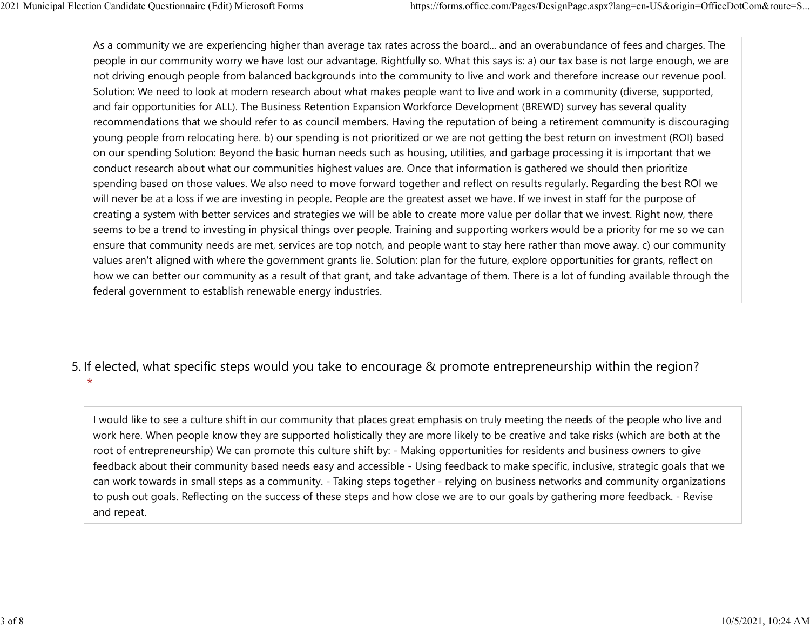As a community we are experiencing higher than average tax rates across the board... and an overabundance of fees and charges. The people in our community worry we have lost our advantage. Rightfully so. What this says is: a) our tax base is not large enough, we are not driving enough people from balanced backgrounds into the community to live and work and therefore increase our revenue pool. Solution: We need to look at modern research about what makes people want to live and work in a community (diverse, supported, and fair opportunities for ALL). The Business Retention Expansion Workforce Development (BREWD) survey has several quality recommendations that we should refer to as council members. Having the reputation of being a retirement community is discouraging young people from relocating here. b) our spending is not prioritized or we are not getting the best return on investment (ROI) based on our spending Solution: Beyond the basic human needs such as housing, utilities, and garbage processing it is important that we conduct research about what our communities highest values are. Once that information is gathered we should then prioritize spending based on those values. We also need to move forward together and reflect on results regularly. Regarding the best ROI we will never be at a loss if we are investing in people. People are the greatest asset we have. If we invest in staff for the purpose of creating a system with better services and strategies we will be able to create more value per dollar that we invest. Right now, there seems to be a trend to investing in physical things over people. Training and supporting workers would be a priority for me so we can ensure that community needs are met, services are top notch, and people want to stay here rather than move away. c) our community values aren't aligned with where the government grants lie. Solution: plan for the future, explore opportunities for grants, reflect on how we can better our community as a result of that grant, and take advantage of them. There is a lot of funding available through the federal government to establish renewable energy industries. 2021 Municipal Election Candidate Questionnaire (Edit) Microsoft Forms https://forms.office.com/Pages/DesignPage.aspx?lang=en-US&origin=OfficeDotCom&route=S...<br>As a community we are experiencing higher than average tax rat

## 5. If elected, what specific steps would you take to encourage & promote entrepreneurship within the region?

I would like to see a culture shift in our community that places great emphasis on truly meeting the needs of the people who live and work here. When people know they are supported holistically they are more likely to be creative and take risks (which are both at the root of entrepreneurship) We can promote this culture shift by: - Making opportunities for residents and business owners to give feedback about their community based needs easy and accessible - Using feedback to make specific, inclusive, strategic goals that we can work towards in small steps as a community. - Taking steps together - relying on business networks and community organizations to push out goals. Reflecting on the success of these steps and how close we are to our goals by gathering more feedback. - Revise and repeat.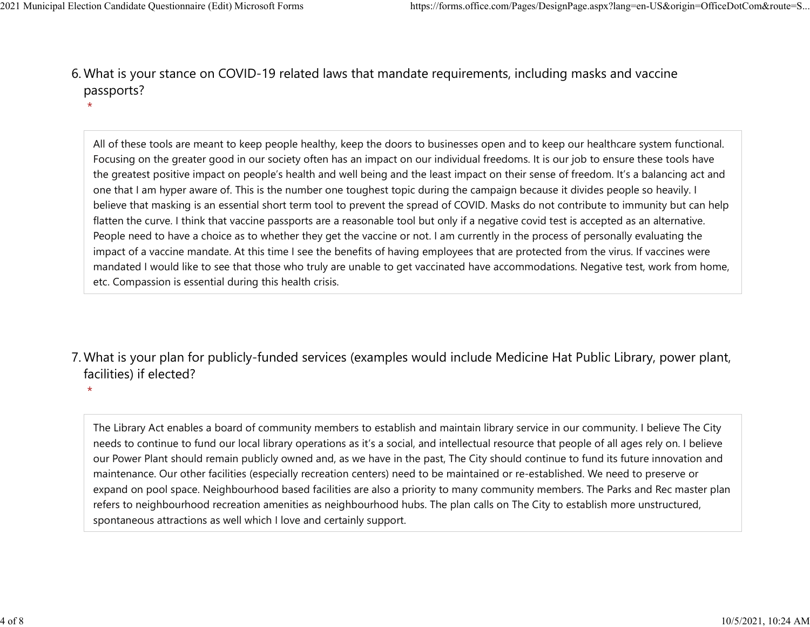What is your stance on COVID-19 related laws that mandate requirements, including masks and vaccine 6. passports? 2021 Municipal Election Candidate Questionnaire (Edit) Microsoft Forms https://forms.office.com/Pages/DesignPage.aspx?lang=en-US&origin=OfficeDotCom&route=S...<br>6 Mhat is vour stance on COVID-19 related laws that mandate re

> All of these tools are meant to keep people healthy, keep the doors to businesses open and to keep our healthcare system functional. Focusing on the greater good in our society often has an impact on our individual freedoms. It is our job to ensure these tools have the greatest positive impact on people's health and well being and the least impact on their sense of freedom. It's a balancing act and one that I am hyper aware of. This is the number one toughest topic during the campaign because it divides people so heavily. I believe that masking is an essential short term tool to prevent the spread of COVID. Masks do not contribute to immunity but can help flatten the curve. I think that vaccine passports are a reasonable tool but only if a negative covid test is accepted as an alternative. People need to have a choice as to whether they get the vaccine or not. I am currently in the process of personally evaluating the impact of a vaccine mandate. At this time I see the benefits of having employees that are protected from the virus. If vaccines were mandated I would like to see that those who truly are unable to get vaccinated have accommodations. Negative test, work from home, etc. Compassion is essential during this health crisis.

What is your plan for publicly-funded services (examples would include Medicine Hat Public Library, power plant, 7. facilities) if elected?

 $\star$ 

The Library Act enables a board of community members to establish and maintain library service in our community. I believe The City needs to continue to fund our local library operations as it's a social, and intellectual resource that people of all ages rely on. I believe our Power Plant should remain publicly owned and, as we have in the past, The City should continue to fund its future innovation and maintenance. Our other facilities (especially recreation centers) need to be maintained or re-established. We need to preserve or expand on pool space. Neighbourhood based facilities are also a priority to many community members. The Parks and Rec master plan refers to neighbourhood recreation amenities as neighbourhood hubs. The plan calls on The City to establish more unstructured, spontaneous attractions as well which I love and certainly support.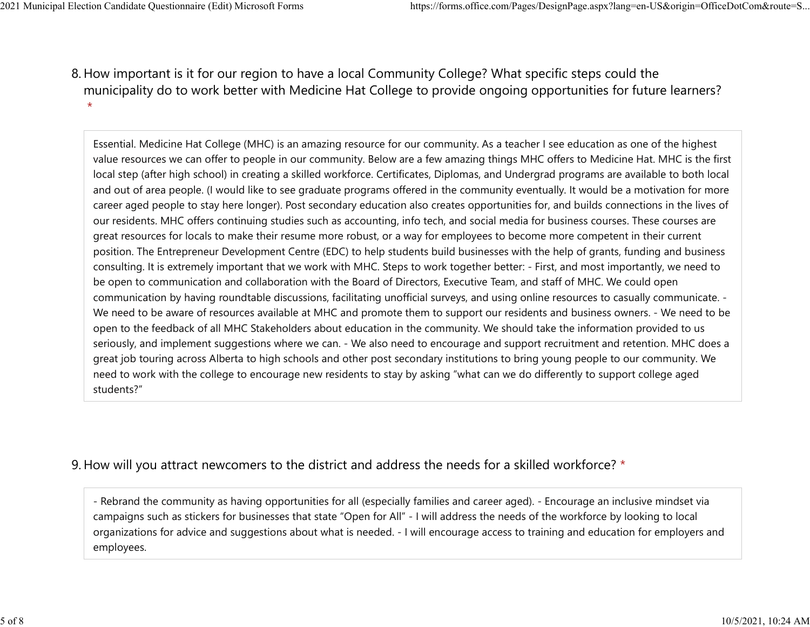8. How important is it for our region to have a local Community College? What specific steps could the municipality do to work better with Medicine Hat College to provide ongoing opportunities for future learners?  $\star$ 2021 Municipal Election Candidate Questionnaire (Edit) Microsoft Forms https://forms.office.com/Pages/DesignPage.aspx?lang=en-US&origin=OfficeDotCom&route=S...<br>8 How important is it for our region to baye a local Community

> Essential. Medicine Hat College (MHC) is an amazing resource for our community. As a teacher I see education as one of the highest value resources we can offer to people in our community. Below are a few amazing things MHC offers to Medicine Hat. MHC is the first local step (after high school) in creating a skilled workforce. Certificates, Diplomas, and Undergrad programs are available to both local and out of area people. (I would like to see graduate programs offered in the community eventually. It would be a motivation for more career aged people to stay here longer). Post secondary education also creates opportunities for, and builds connections in the lives of our residents. MHC offers continuing studies such as accounting, info tech, and social media for business courses. These courses are great resources for locals to make their resume more robust, or a way for employees to become more competent in their current position. The Entrepreneur Development Centre (EDC) to help students build businesses with the help of grants, funding and business consulting. It is extremely important that we work with MHC. Steps to work together better: - First, and most importantly, we need to be open to communication and collaboration with the Board of Directors, Executive Team, and staff of MHC. We could open communication by having roundtable discussions, facilitating unofficial surveys, and using online resources to casually communicate. - We need to be aware of resources available at MHC and promote them to support our residents and business owners. - We need to be open to the feedback of all MHC Stakeholders about education in the community. We should take the information provided to us seriously, and implement suggestions where we can. - We also need to encourage and support recruitment and retention. MHC does a great job touring across Alberta to high schools and other post secondary institutions to bring young people to our community. We need to work with the college to encourage new residents to stay by asking "what can we do differently to support college aged students?"

## 9. How will you attract newcomers to the district and address the needs for a skilled workforce? \*

- Rebrand the community as having opportunities for all (especially families and career aged). - Encourage an inclusive mindset via campaigns such as stickers for businesses that state "Open for All" - I will address the needs of the workforce by looking to local organizations for advice and suggestions about what is needed. - I will encourage access to training and education for employers and employees.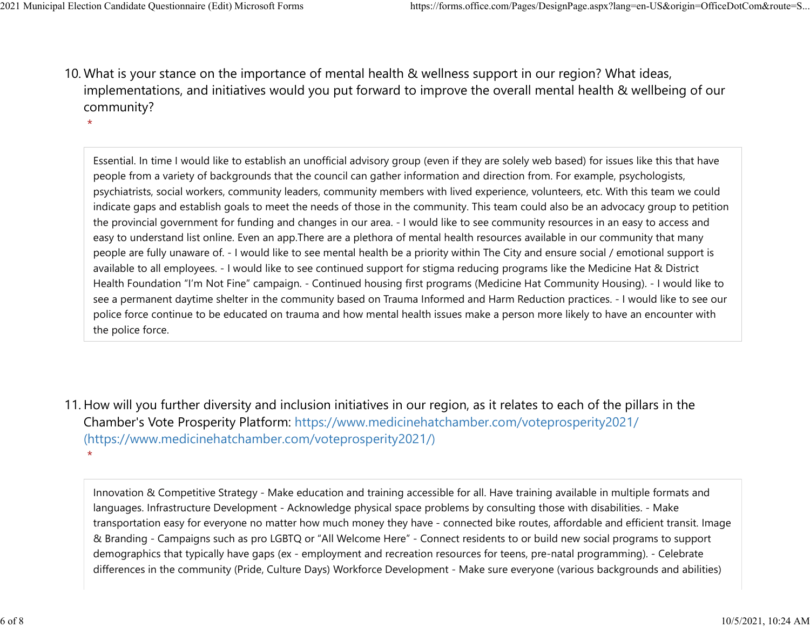10. What is your stance on the importance of mental health & wellness support in our region? What ideas, implementations, and initiatives would you put forward to improve the overall mental health & wellbeing of our community? 2021 Municipal Election Candidate Questionnaire (Edit) Microsoft Forms https://forms.office.com/Pages/DesignPage.aspx?lang=en-US&origin=OfficeDotCom&route=S...<br>10 What is vour stance on the importance of mental bealth & we

Essential. In time I would like to establish an unofficial advisory group (even if they are solely web based) for issues like this that have people from a variety of backgrounds that the council can gather information and direction from. For example, psychologists, psychiatrists, social workers, community leaders, community members with lived experience, volunteers, etc. With this team we could indicate gaps and establish goals to meet the needs of those in the community. This team could also be an advocacy group to petition the provincial government for funding and changes in our area. - I would like to see community resources in an easy to access and easy to understand list online. Even an app.There are a plethora of mental health resources available in our community that many people are fully unaware of. - I would like to see mental health be a priority within The City and ensure social / emotional support is available to all employees. - I would like to see continued support for stigma reducing programs like the Medicine Hat & District Health Foundation "I'm Not Fine" campaign. - Continued housing first programs (Medicine Hat Community Housing). - I would like to see a permanent daytime shelter in the community based on Trauma Informed and Harm Reduction practices. - I would like to see our police force continue to be educated on trauma and how mental health issues make a person more likely to have an encounter with the police force.

11. How will you further diversity and inclusion initiatives in our region, as it relates to each of the pillars in the Chamber's Vote Prosperity Platform: https://www.medicinehatchamber.com/voteprosperity2021/ (https://www.medicinehatchamber.com/voteprosperity2021/)  $\star$ 

Innovation & Competitive Strategy - Make education and training accessible for all. Have training available in multiple formats and languages. Infrastructure Development - Acknowledge physical space problems by consulting those with disabilities. - Make transportation easy for everyone no matter how much money they have - connected bike routes, affordable and efficient transit. Image & Branding - Campaigns such as pro LGBTQ or "All Welcome Here" - Connect residents to or build new social programs to support demographics that typically have gaps (ex - employment and recreation resources for teens, pre-natal programming). - Celebrate differences in the community (Pride, Culture Days) Workforce Development - Make sure everyone (various backgrounds and abilities)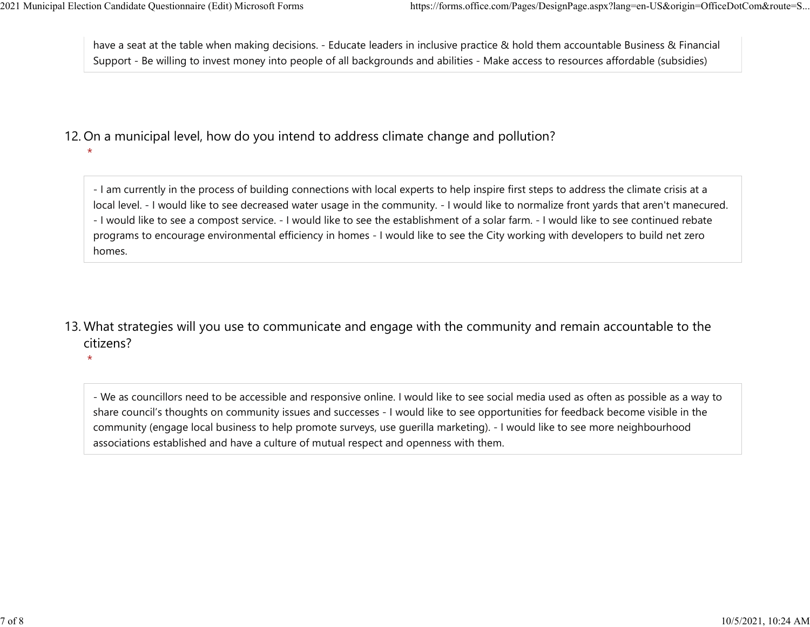have a seat at the table when making decisions. - Educate leaders in inclusive practice & hold them accountable Business & Financial Support - Be willing to invest money into people of all backgrounds and abilities - Make access to resources affordable (subsidies) 2021 Municipal Election Candidate Questionnaire (Edit) Microsoft Forms https://forms.office.com/Pages/DesignPage.aspx?lang=en-US&origin=OfficeDotCom&route=S...<br>have a seat at the table when making decisions. - Educate lead

12. On a municipal level, how do you intend to address climate change and pollution?

- I am currently in the process of building connections with local experts to help inspire first steps to address the climate crisis at a local level. - I would like to see decreased water usage in the community. - I would like to normalize front yards that aren't manecured. - I would like to see a compost service. - I would like to see the establishment of a solar farm. - I would like to see continued rebate programs to encourage environmental efficiency in homes - I would like to see the City working with developers to build net zero homes.

13. What strategies will you use to communicate and engage with the community and remain accountable to the citizens?

 $\star$ 

- We as councillors need to be accessible and responsive online. I would like to see social media used as often as possible as a way to share council's thoughts on community issues and successes - I would like to see opportunities for feedback become visible in the community (engage local business to help promote surveys, use guerilla marketing). - I would like to see more neighbourhood associations established and have a culture of mutual respect and openness with them.